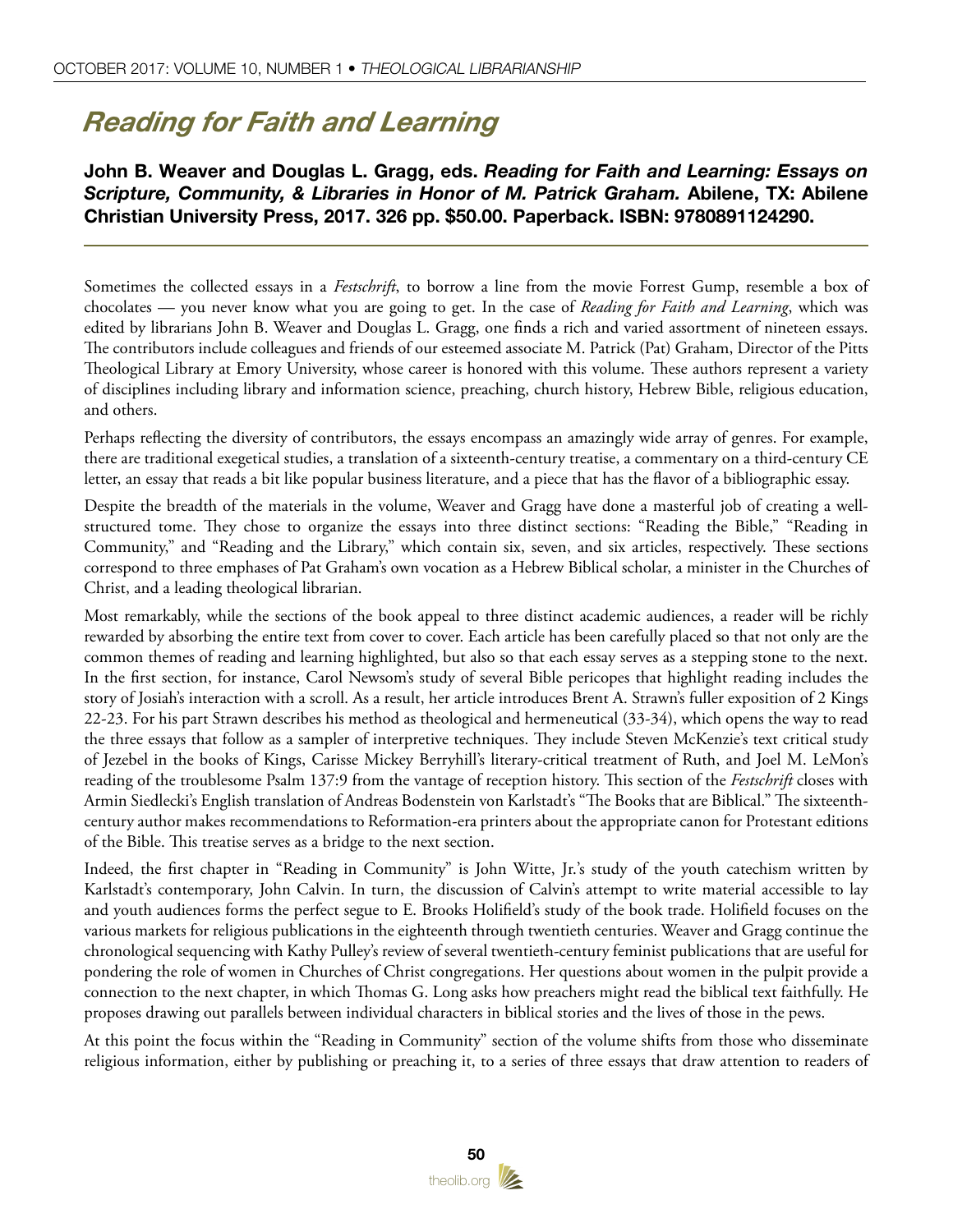## *Reading for Faith and Learning*

## John B. Weaver and Douglas L. Gragg, eds. *Reading for Faith and Learning: Essays on Scripture, Community, & Libraries in Honor of M. Patrick Graham.* Abilene, TX: Abilene Christian University Press, 2017. 326 pp. \$50.00. Paperback. ISBN: 9780891124290.

Sometimes the collected essays in a *Festschrift*, to borrow a line from the movie Forrest Gump, resemble a box of chocolates — you never know what you are going to get. In the case of *Reading for Faith and Learning*, which was edited by librarians John B. Weaver and Douglas L. Gragg, one finds a rich and varied assortment of nineteen essays. The contributors include colleagues and friends of our esteemed associate M. Patrick (Pat) Graham, Director of the Pitts Theological Library at Emory University, whose career is honored with this volume. These authors represent a variety of disciplines including library and information science, preaching, church history, Hebrew Bible, religious education, and others.

Perhaps reflecting the diversity of contributors, the essays encompass an amazingly wide array of genres. For example, there are traditional exegetical studies, a translation of a sixteenth-century treatise, a commentary on a third-century CE letter, an essay that reads a bit like popular business literature, and a piece that has the flavor of a bibliographic essay.

Despite the breadth of the materials in the volume, Weaver and Gragg have done a masterful job of creating a wellstructured tome. They chose to organize the essays into three distinct sections: "Reading the Bible," "Reading in Community," and "Reading and the Library," which contain six, seven, and six articles, respectively. These sections correspond to three emphases of Pat Graham's own vocation as a Hebrew Biblical scholar, a minister in the Churches of Christ, and a leading theological librarian.

Most remarkably, while the sections of the book appeal to three distinct academic audiences, a reader will be richly rewarded by absorbing the entire text from cover to cover. Each article has been carefully placed so that not only are the common themes of reading and learning highlighted, but also so that each essay serves as a stepping stone to the next. In the first section, for instance, Carol Newsom's study of several Bible pericopes that highlight reading includes the story of Josiah's interaction with a scroll. As a result, her article introduces Brent A. Strawn's fuller exposition of 2 Kings 22-23. For his part Strawn describes his method as theological and hermeneutical (33-34), which opens the way to read the three essays that follow as a sampler of interpretive techniques. They include Steven McKenzie's text critical study of Jezebel in the books of Kings, Carisse Mickey Berryhill's literary-critical treatment of Ruth, and Joel M. LeMon's reading of the troublesome Psalm 137:9 from the vantage of reception history. This section of the *Festschrift* closes with Armin Siedlecki's English translation of Andreas Bodenstein von Karlstadt's "The Books that are Biblical." The sixteenthcentury author makes recommendations to Reformation-era printers about the appropriate canon for Protestant editions of the Bible. This treatise serves as a bridge to the next section.

Indeed, the first chapter in "Reading in Community" is John Witte, Jr.'s study of the youth catechism written by Karlstadt's contemporary, John Calvin. In turn, the discussion of Calvin's attempt to write material accessible to lay and youth audiences forms the perfect segue to E. Brooks Holifield's study of the book trade. Holifield focuses on the various markets for religious publications in the eighteenth through twentieth centuries. Weaver and Gragg continue the chronological sequencing with Kathy Pulley's review of several twentieth-century feminist publications that are useful for pondering the role of women in Churches of Christ congregations. Her questions about women in the pulpit provide a connection to the next chapter, in which Thomas G. Long asks how preachers might read the biblical text faithfully. He proposes drawing out parallels between individual characters in biblical stories and the lives of those in the pews.

At this point the focus within the "Reading in Community" section of the volume shifts from those who disseminate religious information, either by publishing or preaching it, to a series of three essays that draw attention to readers of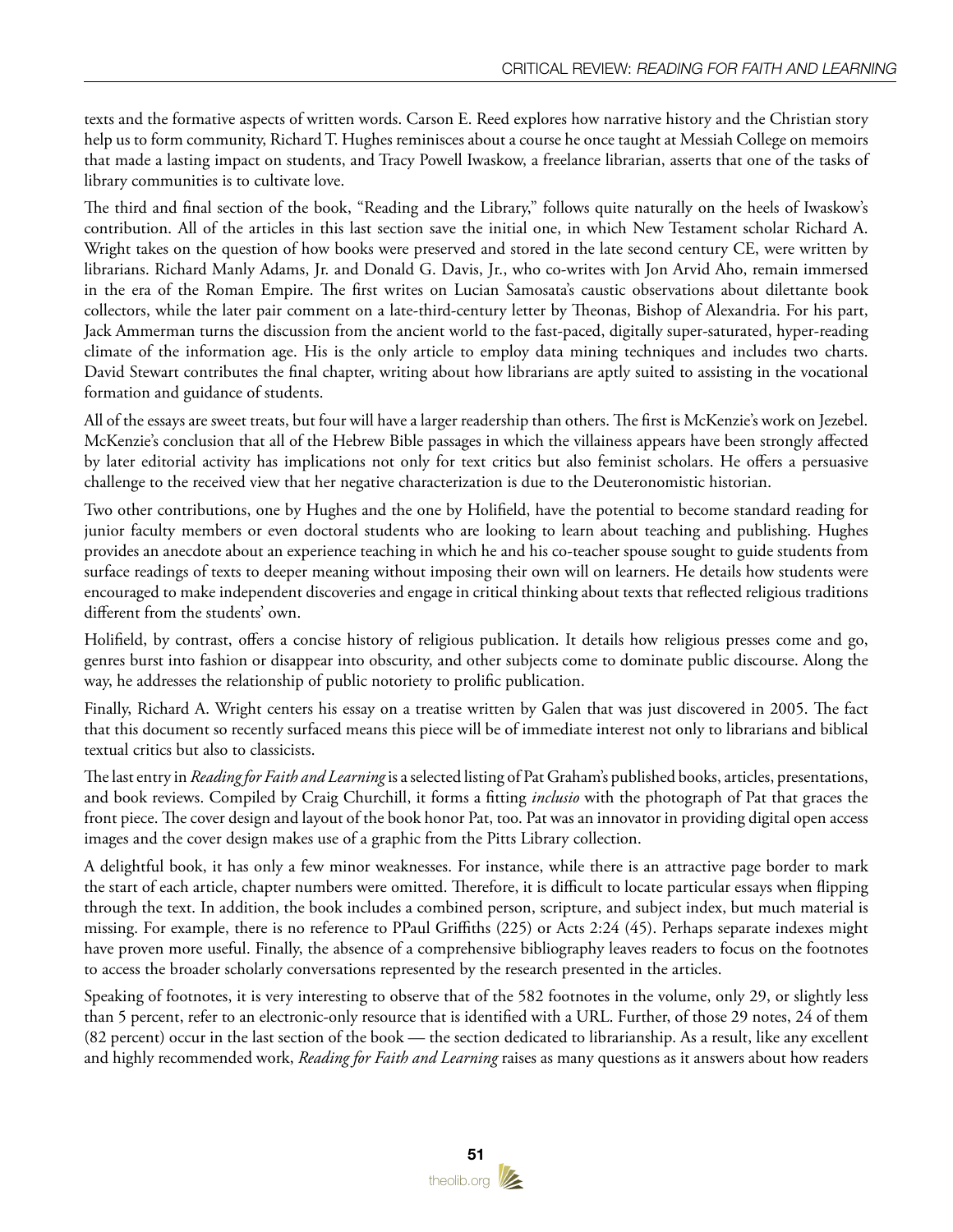texts and the formative aspects of written words. Carson E. Reed explores how narrative history and the Christian story help us to form community, Richard T. Hughes reminisces about a course he once taught at Messiah College on memoirs that made a lasting impact on students, and Tracy Powell Iwaskow, a freelance librarian, asserts that one of the tasks of library communities is to cultivate love.

The third and final section of the book, "Reading and the Library," follows quite naturally on the heels of Iwaskow's contribution. All of the articles in this last section save the initial one, in which New Testament scholar Richard A. Wright takes on the question of how books were preserved and stored in the late second century CE, were written by librarians. Richard Manly Adams, Jr. and Donald G. Davis, Jr., who co-writes with Jon Arvid Aho, remain immersed in the era of the Roman Empire. The first writes on Lucian Samosata's caustic observations about dilettante book collectors, while the later pair comment on a late-third-century letter by Theonas, Bishop of Alexandria. For his part, Jack Ammerman turns the discussion from the ancient world to the fast-paced, digitally super-saturated, hyper-reading climate of the information age. His is the only article to employ data mining techniques and includes two charts. David Stewart contributes the final chapter, writing about how librarians are aptly suited to assisting in the vocational formation and guidance of students.

All of the essays are sweet treats, but four will have a larger readership than others. The first is McKenzie's work on Jezebel. McKenzie's conclusion that all of the Hebrew Bible passages in which the villainess appears have been strongly affected by later editorial activity has implications not only for text critics but also feminist scholars. He offers a persuasive challenge to the received view that her negative characterization is due to the Deuteronomistic historian.

Two other contributions, one by Hughes and the one by Holifield, have the potential to become standard reading for junior faculty members or even doctoral students who are looking to learn about teaching and publishing. Hughes provides an anecdote about an experience teaching in which he and his co-teacher spouse sought to guide students from surface readings of texts to deeper meaning without imposing their own will on learners. He details how students were encouraged to make independent discoveries and engage in critical thinking about texts that reflected religious traditions different from the students' own.

Holifield, by contrast, offers a concise history of religious publication. It details how religious presses come and go, genres burst into fashion or disappear into obscurity, and other subjects come to dominate public discourse. Along the way, he addresses the relationship of public notoriety to prolific publication.

Finally, Richard A. Wright centers his essay on a treatise written by Galen that was just discovered in 2005. The fact that this document so recently surfaced means this piece will be of immediate interest not only to librarians and biblical textual critics but also to classicists.

The last entry in *Reading for Faith and Learning* is a selected listing of Pat Graham's published books, articles, presentations, and book reviews. Compiled by Craig Churchill, it forms a fitting *inclusio* with the photograph of Pat that graces the front piece. The cover design and layout of the book honor Pat, too. Pat was an innovator in providing digital open access images and the cover design makes use of a graphic from the Pitts Library collection.

A delightful book, it has only a few minor weaknesses. For instance, while there is an attractive page border to mark the start of each article, chapter numbers were omitted. Therefore, it is difficult to locate particular essays when flipping through the text. In addition, the book includes a combined person, scripture, and subject index, but much material is missing. For example, there is no reference to PPaul Griffiths (225) or Acts 2:24 (45). Perhaps separate indexes might have proven more useful. Finally, the absence of a comprehensive bibliography leaves readers to focus on the footnotes to access the broader scholarly conversations represented by the research presented in the articles.

Speaking of footnotes, it is very interesting to observe that of the 582 footnotes in the volume, only 29, or slightly less than 5 percent, refer to an electronic-only resource that is identified with a URL. Further, of those 29 notes, 24 of them (82 percent) occur in the last section of the book — the section dedicated to librarianship. As a result, like any excellent and highly recommended work, *Reading for Faith and Learning* raises as many questions as it answers about how readers